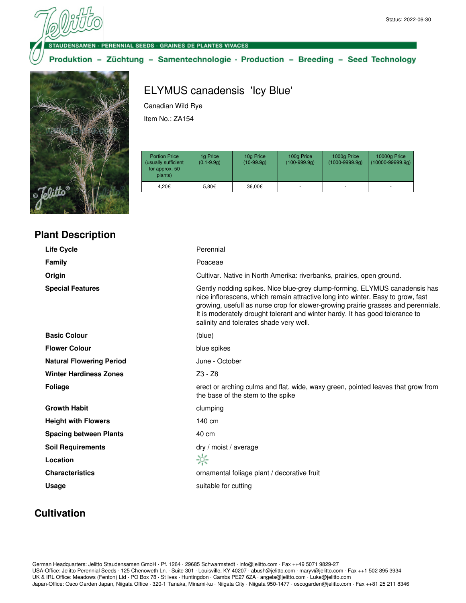#### SAMEN · PERENNIAL SEEDS · GRAINES DE PLANTES VIVACES

### Produktion - Züchtung - Samentechnologie · Production - Breeding - Seed Technology



**Plant Description**

# ELYMUS canadensis 'Icy Blue'

Canadian Wild Rye

Item No.: ZA154

| <b>Portion Price</b><br>(usually sufficient<br>for approx. 50<br>plants) | 1g Price<br>$(0.1 - 9.9q)$ | 10g Price<br>$(10-99.9q)$ | 100g Price<br>$(100-999.9q)$ | 1000g Price<br>$(1000 - 9999.9q)$ | 10000g Price<br>$(10000 - 99999.9q)$ |
|--------------------------------------------------------------------------|----------------------------|---------------------------|------------------------------|-----------------------------------|--------------------------------------|
| 4.20€                                                                    | 5,80€                      | 36,00€                    | ۰                            |                                   |                                      |

| Perennial                                                                                                                                                                                                                                                                                                                                                                     |
|-------------------------------------------------------------------------------------------------------------------------------------------------------------------------------------------------------------------------------------------------------------------------------------------------------------------------------------------------------------------------------|
| Poaceae                                                                                                                                                                                                                                                                                                                                                                       |
| Cultivar. Native in North Amerika: riverbanks, prairies, open ground.                                                                                                                                                                                                                                                                                                         |
| Gently nodding spikes. Nice blue-grey clump-forming. ELYMUS canadensis has<br>nice inflorescens, which remain attractive long into winter. Easy to grow, fast<br>growing, usefull as nurse crop for slower-growing prairie grasses and perennials.<br>It is moderately drought tolerant and winter hardy. It has good tolerance to<br>salinity and tolerates shade very well. |
| (blue)                                                                                                                                                                                                                                                                                                                                                                        |
| blue spikes                                                                                                                                                                                                                                                                                                                                                                   |
| June - October                                                                                                                                                                                                                                                                                                                                                                |
| $Z3 - Z8$                                                                                                                                                                                                                                                                                                                                                                     |
| erect or arching culms and flat, wide, waxy green, pointed leaves that grow from<br>the base of the stem to the spike                                                                                                                                                                                                                                                         |
| clumping                                                                                                                                                                                                                                                                                                                                                                      |
| 140 cm                                                                                                                                                                                                                                                                                                                                                                        |
| 40 cm                                                                                                                                                                                                                                                                                                                                                                         |
| dry / moist / average                                                                                                                                                                                                                                                                                                                                                         |
| ☆                                                                                                                                                                                                                                                                                                                                                                             |
| ornamental foliage plant / decorative fruit                                                                                                                                                                                                                                                                                                                                   |
| suitable for cutting                                                                                                                                                                                                                                                                                                                                                          |
|                                                                                                                                                                                                                                                                                                                                                                               |

## **Cultivation**